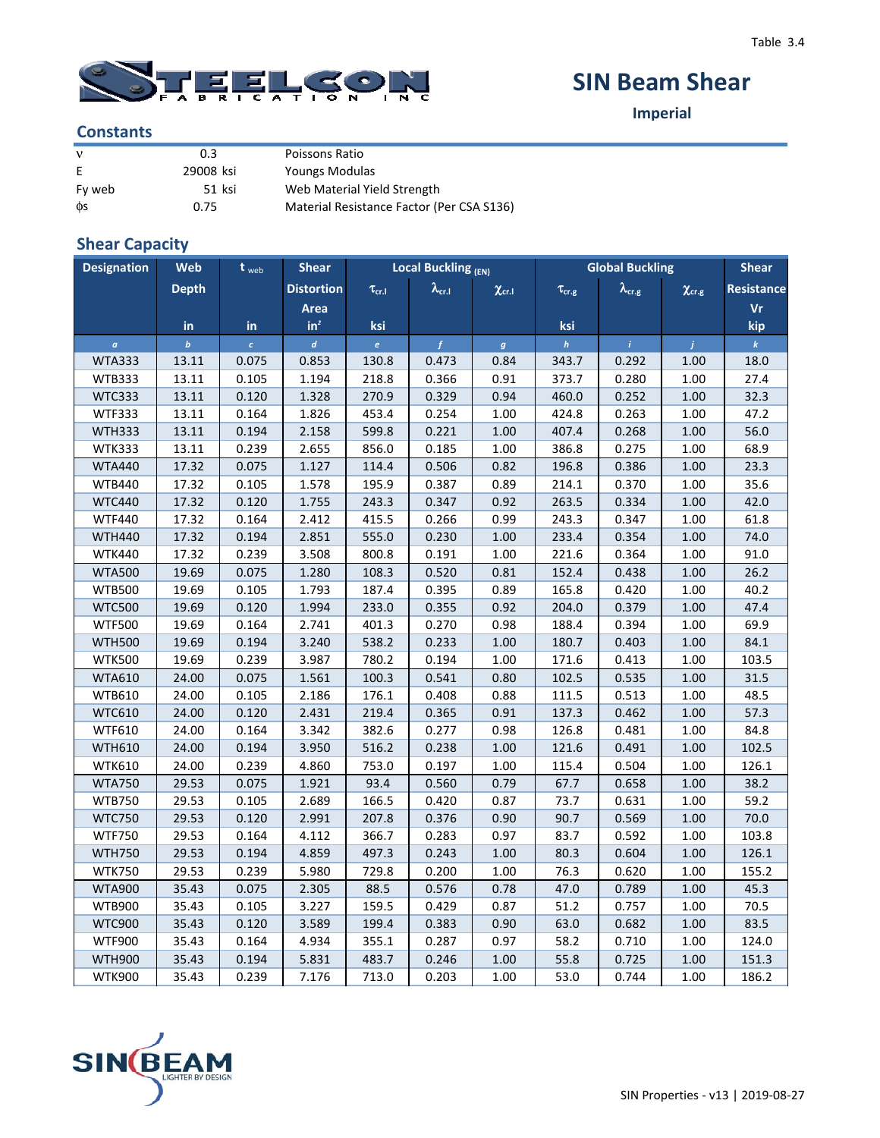

# **SIN Beam Shear**

**Imperial**

#### **Constants**

| $\mathbf{v}$ | 0.3       | Poissons Ratio                            |
|--------------|-----------|-------------------------------------------|
| E            | 29008 ksi | Youngs Modulas                            |
| Fy web       | 51 ksi    | Web Material Yield Strength               |
| ФS           | 0.75      | Material Resistance Factor (Per CSA S136) |

### **Shear Capacity**

| <b>Designation</b> | Web              | $t_{web}$  | <b>Shear</b>      |                   | <b>Local Buckling (EN)</b> |                   | <b>Global Buckling</b> |                      | <b>Shear</b>      |                   |
|--------------------|------------------|------------|-------------------|-------------------|----------------------------|-------------------|------------------------|----------------------|-------------------|-------------------|
|                    | <b>Depth</b>     |            | <b>Distortion</b> | $\tau_{\rm cr,I}$ | $\lambda_{\rm cr.I}$       | $\chi_{\rm cr.I}$ | $\tau_{\rm cr.g}$      | $\lambda_{\rm cr.g}$ | $\chi_{\rm cr.g}$ | <b>Resistance</b> |
|                    |                  |            | Area              |                   |                            |                   |                        |                      |                   | Vr                |
|                    | in               | in         | $in^2$            | ksi               |                            |                   | ksi                    |                      |                   | kip               |
| $\alpha$           | $\boldsymbol{b}$ | $\epsilon$ | $\boldsymbol{d}$  | $\epsilon$        | $\overline{f}$             | $\boldsymbol{g}$  | $\boldsymbol{h}$       | $\hat{I}$            | $\mathbf{I}$      | $\boldsymbol{k}$  |
| <b>WTA333</b>      | 13.11            | 0.075      | 0.853             | 130.8             | 0.473                      | 0.84              | 343.7                  | 0.292                | 1.00              | 18.0              |
| <b>WTB333</b>      | 13.11            | 0.105      | 1.194             | 218.8             | 0.366                      | 0.91              | 373.7                  | 0.280                | 1.00              | 27.4              |
| <b>WTC333</b>      | 13.11            | 0.120      | 1.328             | 270.9             | 0.329                      | 0.94              | 460.0                  | 0.252                | 1.00              | 32.3              |
| <b>WTF333</b>      | 13.11            | 0.164      | 1.826             | 453.4             | 0.254                      | 1.00              | 424.8                  | 0.263                | 1.00              | 47.2              |
| <b>WTH333</b>      | 13.11            | 0.194      | 2.158             | 599.8             | 0.221                      | 1.00              | 407.4                  | 0.268                | 1.00              | 56.0              |
| <b>WTK333</b>      | 13.11            | 0.239      | 2.655             | 856.0             | 0.185                      | 1.00              | 386.8                  | 0.275                | 1.00              | 68.9              |
| <b>WTA440</b>      | 17.32            | 0.075      | 1.127             | 114.4             | 0.506                      | 0.82              | 196.8                  | 0.386                | 1.00              | 23.3              |
| <b>WTB440</b>      | 17.32            | 0.105      | 1.578             | 195.9             | 0.387                      | 0.89              | 214.1                  | 0.370                | 1.00              | 35.6              |
| <b>WTC440</b>      | 17.32            | 0.120      | 1.755             | 243.3             | 0.347                      | 0.92              | 263.5                  | 0.334                | 1.00              | 42.0              |
| <b>WTF440</b>      | 17.32            | 0.164      | 2.412             | 415.5             | 0.266                      | 0.99              | 243.3                  | 0.347                | 1.00              | 61.8              |
| <b>WTH440</b>      | 17.32            | 0.194      | 2.851             | 555.0             | 0.230                      | 1.00              | 233.4                  | 0.354                | 1.00              | 74.0              |
| <b>WTK440</b>      | 17.32            | 0.239      | 3.508             | 800.8             | 0.191                      | 1.00              | 221.6                  | 0.364                | 1.00              | 91.0              |
| <b>WTA500</b>      | 19.69            | 0.075      | 1.280             | 108.3             | 0.520                      | 0.81              | 152.4                  | 0.438                | 1.00              | 26.2              |
| <b>WTB500</b>      | 19.69            | 0.105      | 1.793             | 187.4             | 0.395                      | 0.89              | 165.8                  | 0.420                | 1.00              | 40.2              |
| <b>WTC500</b>      | 19.69            | 0.120      | 1.994             | 233.0             | 0.355                      | 0.92              | 204.0                  | 0.379                | 1.00              | 47.4              |
| <b>WTF500</b>      | 19.69            | 0.164      | 2.741             | 401.3             | 0.270                      | 0.98              | 188.4                  | 0.394                | 1.00              | 69.9              |
| <b>WTH500</b>      | 19.69            | 0.194      | 3.240             | 538.2             | 0.233                      | $1.00\,$          | 180.7                  | 0.403                | 1.00              | 84.1              |
| <b>WTK500</b>      | 19.69            | 0.239      | 3.987             | 780.2             | 0.194                      | 1.00              | 171.6                  | 0.413                | 1.00              | 103.5             |
| <b>WTA610</b>      | 24.00            | 0.075      | 1.561             | 100.3             | 0.541                      | 0.80              | 102.5                  | 0.535                | 1.00              | 31.5              |
| WTB610             | 24.00            | 0.105      | 2.186             | 176.1             | 0.408                      | 0.88              | 111.5                  | 0.513                | 1.00              | 48.5              |
| <b>WTC610</b>      | 24.00            | 0.120      | 2.431             | 219.4             | 0.365                      | 0.91              | 137.3                  | 0.462                | 1.00              | 57.3              |
| <b>WTF610</b>      | 24.00            | 0.164      | 3.342             | 382.6             | 0.277                      | 0.98              | 126.8                  | 0.481                | 1.00              | 84.8              |
| <b>WTH610</b>      | 24.00            | 0.194      | 3.950             | 516.2             | 0.238                      | $1.00\,$          | 121.6                  | 0.491                | 1.00              | 102.5             |
| <b>WTK610</b>      | 24.00            | 0.239      | 4.860             | 753.0             | 0.197                      | 1.00              | 115.4                  | 0.504                | 1.00              | 126.1             |
| <b>WTA750</b>      | 29.53            | 0.075      | 1.921             | 93.4              | 0.560                      | 0.79              | 67.7                   | 0.658                | 1.00              | 38.2              |
| <b>WTB750</b>      | 29.53            | 0.105      | 2.689             | 166.5             | 0.420                      | 0.87              | 73.7                   | 0.631                | 1.00              | 59.2              |
| <b>WTC750</b>      | 29.53            | 0.120      | 2.991             | 207.8             | 0.376                      | 0.90              | 90.7                   | 0.569                | 1.00              | 70.0              |
| <b>WTF750</b>      | 29.53            | 0.164      | 4.112             | 366.7             | 0.283                      | 0.97              | 83.7                   | 0.592                | 1.00              | 103.8             |
| <b>WTH750</b>      | 29.53            | 0.194      | 4.859             | 497.3             | 0.243                      | 1.00              | 80.3                   | 0.604                | 1.00              | 126.1             |
| <b>WTK750</b>      | 29.53            | 0.239      | 5.980             | 729.8             | 0.200                      | 1.00              | 76.3                   | 0.620                | 1.00              | 155.2             |
| <b>WTA900</b>      | 35.43            | 0.075      | 2.305             | 88.5              | 0.576                      | 0.78              | 47.0                   | 0.789                | 1.00              | 45.3              |
| <b>WTB900</b>      | 35.43            | 0.105      | 3.227             | 159.5             | 0.429                      | 0.87              | 51.2                   | 0.757                | 1.00              | 70.5              |
| <b>WTC900</b>      | 35.43            | 0.120      | 3.589             | 199.4             | 0.383                      | 0.90              | 63.0                   | 0.682                | 1.00              | 83.5              |
| <b>WTF900</b>      | 35.43            | 0.164      | 4.934             | 355.1             | 0.287                      | 0.97              | 58.2                   | 0.710                | 1.00              | 124.0             |
| <b>WTH900</b>      | 35.43            | 0.194      | 5.831             | 483.7             | 0.246                      | $1.00\,$          | 55.8                   | 0.725                | 1.00              | 151.3             |
| <b>WTK900</b>      | 35.43            | 0.239      | 7.176             | 713.0             | 0.203                      | 1.00              | 53.0                   | 0.744                | 1.00              | 186.2             |